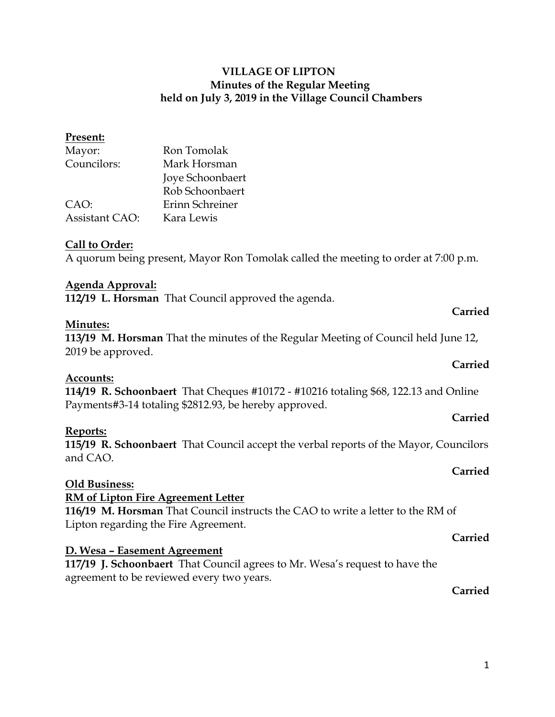### **Present:**

| Mayor:                | Ron Tomolak      |
|-----------------------|------------------|
| Councilors:           | Mark Horsman     |
|                       | Joye Schoonbaert |
|                       | Rob Schoonbaert  |
| CAO:                  | Erinn Schreiner  |
| <b>Assistant CAO:</b> | Kara Lewis       |

### **Call to Order:**

A quorum being present, Mayor Ron Tomolak called the meeting to order at 7:00 p.m.

### **Agenda Approval:**

**112/19 L. Horsman** That Council approved the agenda.

### **Minutes:**

**113/19 M. Horsman** That the minutes of the Regular Meeting of Council held June 12, 2019 be approved.

### **Accounts:**

**114/19 R. Schoonbaert** That Cheques #10172 - #10216 totaling \$68, 122.13 and Online Payments#3-14 totaling \$2812.93, be hereby approved.

### **Reports:**

**115/19 R. Schoonbaert** That Council accept the verbal reports of the Mayor, Councilors and CAO.

### **Old Business:**

### **RM of Lipton Fire Agreement Letter**

**116/19 M. Horsman** That Council instructs the CAO to write a letter to the RM of Lipton regarding the Fire Agreement.

### **D. Wesa – Easement Agreement**

**117/19 J. Schoonbaert** That Council agrees to Mr. Wesa's request to have the agreement to be reviewed every two years.

**Carried**

# **Carried**

**Carried**

### **Carried**

**Carried**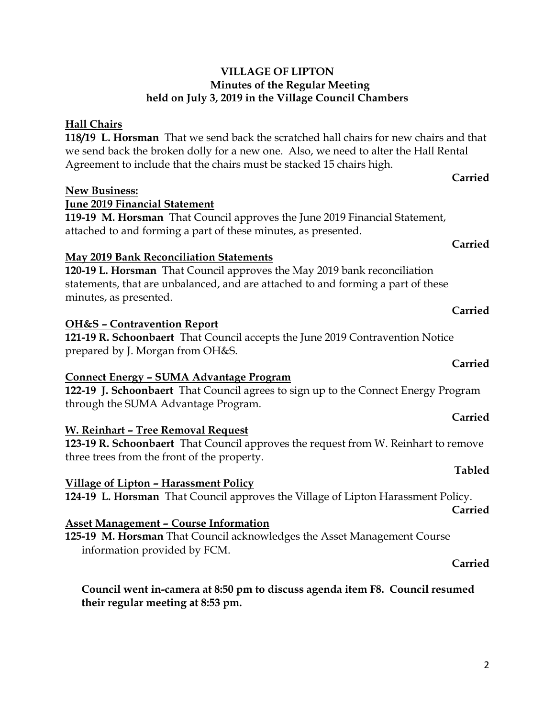### **Hall Chairs**

**118/19 L. Horsman** That we send back the scratched hall chairs for new chairs and that we send back the broken dolly for a new one. Also, we need to alter the Hall Rental Agreement to include that the chairs must be stacked 15 chairs high.

### **New Business:**

**June 2019 Financial Statement**

**119-19 M. Horsman** That Council approves the June 2019 Financial Statement, attached to and forming a part of these minutes, as presented.

### **May 2019 Bank Reconciliation Statements**

**120-19 L. Horsman** That Council approves the May 2019 bank reconciliation statements, that are unbalanced, and are attached to and forming a part of these minutes, as presented.

### **OH&S – Contravention Report**

**121-19 R. Schoonbaert** That Council accepts the June 2019 Contravention Notice prepared by J. Morgan from OH&S.

### **Connect Energy – SUMA Advantage Program**

**122-19 J. Schoonbaert** That Council agrees to sign up to the Connect Energy Program through the SUMA Advantage Program.

### **W. Reinhart – Tree Removal Request**

**123-19 R. Schoonbaert** That Council approves the request from W. Reinhart to remove three trees from the front of the property.

### **Village of Lipton – Harassment Policy**

**124-19 L. Horsman** That Council approves the Village of Lipton Harassment Policy.

### **Asset Management – Course Information**

**125-19 M. Horsman** That Council acknowledges the Asset Management Course information provided by FCM.

### **Council went in-camera at 8:50 pm to discuss agenda item F8. Council resumed their regular meeting at 8:53 pm.**

### **Carried**

**Carried**

### **Carried**

# **Tabled**

### **Carried**

**Carried**

**Carried**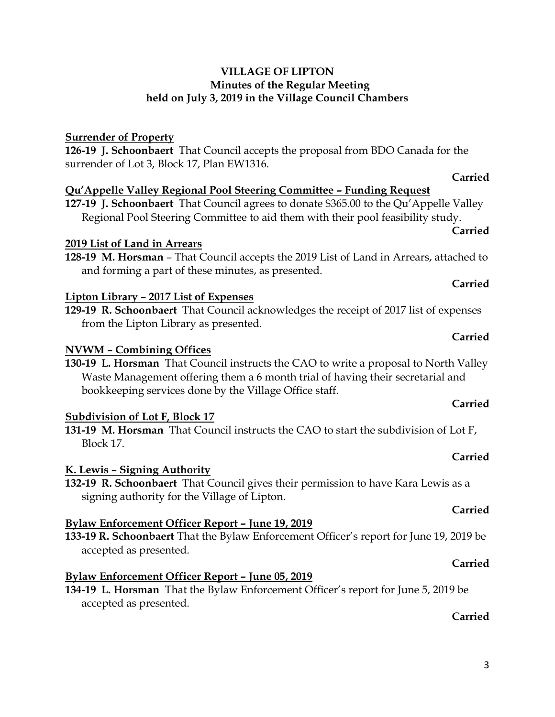### **Surrender of Property**

**126-19 J. Schoonbaert** That Council accepts the proposal from BDO Canada for the surrender of Lot 3, Block 17, Plan EW1316.

### **Carried**

### **Qu'Appelle Valley Regional Pool Steering Committee – Funding Request**

**127-19 J. Schoonbaert** That Council agrees to donate \$365.00 to the Qu'Appelle Valley Regional Pool Steering Committee to aid them with their pool feasibility study.

### **2019 List of Land in Arrears**

**128-19 M. Horsman** – That Council accepts the 2019 List of Land in Arrears, attached to and forming a part of these minutes, as presented.

### **Lipton Library – 2017 List of Expenses**

**129-19 R. Schoonbaert** That Council acknowledges the receipt of 2017 list of expenses from the Lipton Library as presented.

### **NVWM – Combining Offices**

**130-19 L. Horsman** That Council instructs the CAO to write a proposal to North Valley Waste Management offering them a 6 month trial of having their secretarial and bookkeeping services done by the Village Office staff.

### **Subdivision of Lot F, Block 17**

**131-19 M. Horsman** That Council instructs the CAO to start the subdivision of Lot F, Block 17.

### **K. Lewis – Signing Authority**

**132-19 R. Schoonbaert** That Council gives their permission to have Kara Lewis as a signing authority for the Village of Lipton.

### **Bylaw Enforcement Officer Report – June 19, 2019**

**133-19 R. Schoonbaert** That the Bylaw Enforcement Officer's report for June 19, 2019 be accepted as presented.

### **Bylaw Enforcement Officer Report – June 05, 2019**

**134-19 L. Horsman** That the Bylaw Enforcement Officer's report for June 5, 2019 be accepted as presented. **Carried**

# **Carried**

**Carried**

### **Carried**

### **Carried**

### **Carried**

# **Carried**